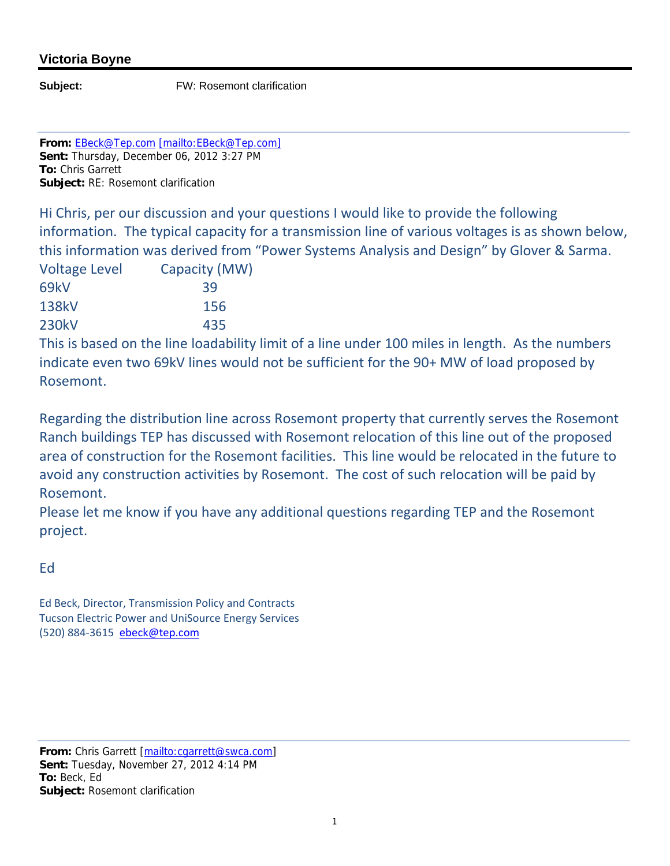## **Victoria Boyne**

**Subject:** FW: Rosemont clarification

**From:** EBeck@Tep.com [mailto:EBeck@Tep.com] **Sent:** Thursday, December 06, 2012 3:27 PM **To:** Chris Garrett **Subject:** RE: Rosemont clarification

Hi Chris, per our discussion and your questions I would like to provide the following information. The typical capacity for a transmission line of various voltages is as shown below, this information was derived from "Power Systems Analysis and Design" by Glover & Sarma.

| <b>Voltage Level</b> | Capacity (MW) |
|----------------------|---------------|
| 69kV                 | 39            |
| <b>138kV</b>         | 156           |
| <b>230kV</b>         | 435           |

This is based on the line loadability limit of a line under 100 miles in length. As the numbers indicate even two 69kV lines would not be sufficient for the 90+ MW of load proposed by Rosemont.

Regarding the distribution line across Rosemont property that currently serves the Rosemont Ranch buildings TEP has discussed with Rosemont relocation of this line out of the proposed area of construction for the Rosemont facilities. This line would be relocated in the future to avoid any construction activities by Rosemont. The cost of such relocation will be paid by Rosemont.

Please let me know if you have any additional questions regarding TEP and the Rosemont project.

Ed

Ed Beck, Director, Transmission Policy and Contracts Tucson Electric Power and UniSource Energy Services (520) 884‐3615 ebeck@tep.com

From: Chris Garrett [mailto:cgarrett@swca.com] **Sent:** Tuesday, November 27, 2012 4:14 PM **To:** Beck, Ed **Subject:** Rosemont clarification